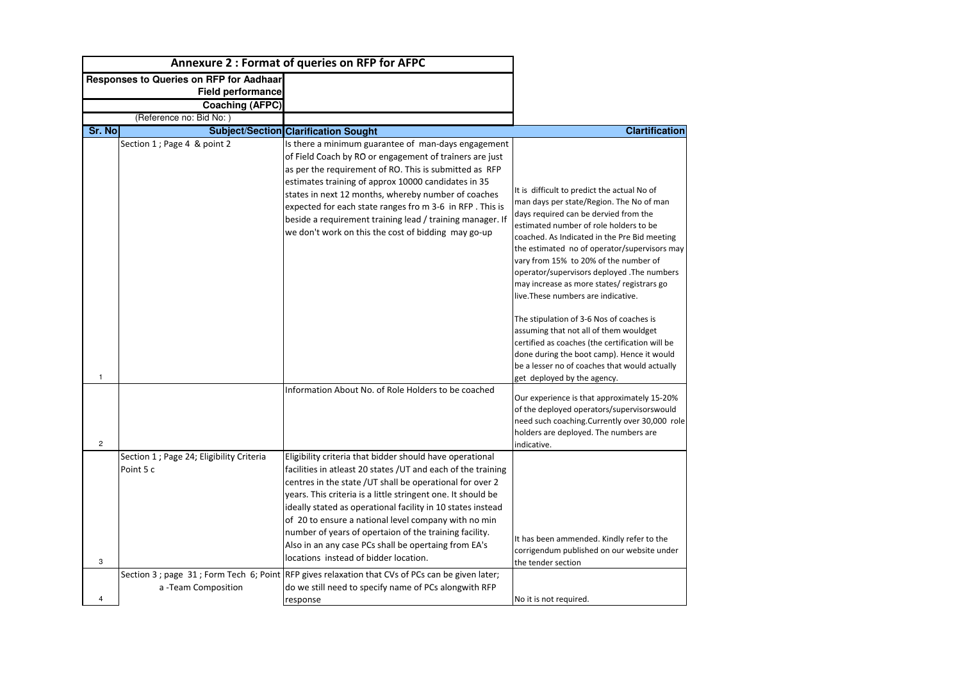|                | <b>Annexure 2: Format of queries on RFP for AFPC</b>   |                                                                                                                                                                                                                                                                                                                                                                                                                                                                                                                                          |                                                                                                                                                                                                                                                                                                                                                                                                                                                         |
|----------------|--------------------------------------------------------|------------------------------------------------------------------------------------------------------------------------------------------------------------------------------------------------------------------------------------------------------------------------------------------------------------------------------------------------------------------------------------------------------------------------------------------------------------------------------------------------------------------------------------------|---------------------------------------------------------------------------------------------------------------------------------------------------------------------------------------------------------------------------------------------------------------------------------------------------------------------------------------------------------------------------------------------------------------------------------------------------------|
|                | <b>Responses to Queries on RFP for Aadhaar</b>         |                                                                                                                                                                                                                                                                                                                                                                                                                                                                                                                                          |                                                                                                                                                                                                                                                                                                                                                                                                                                                         |
|                | <b>Field performance</b>                               |                                                                                                                                                                                                                                                                                                                                                                                                                                                                                                                                          |                                                                                                                                                                                                                                                                                                                                                                                                                                                         |
|                | <b>Coaching (AFPC)</b>                                 |                                                                                                                                                                                                                                                                                                                                                                                                                                                                                                                                          |                                                                                                                                                                                                                                                                                                                                                                                                                                                         |
|                | (Reference no: Bid No:                                 |                                                                                                                                                                                                                                                                                                                                                                                                                                                                                                                                          |                                                                                                                                                                                                                                                                                                                                                                                                                                                         |
| <b>Sr. No</b>  |                                                        | <b>Subject/Section Clarification Sought</b>                                                                                                                                                                                                                                                                                                                                                                                                                                                                                              | <b>Clartification</b>                                                                                                                                                                                                                                                                                                                                                                                                                                   |
|                | Section 1 ; Page 4 & point 2                           | Is there a minimum guarantee of man-days engagement<br>of Field Coach by RO or engagement of trainers are just<br>as per the requirement of RO. This is submitted as RFP<br>estimates training of approx 10000 candidates in 35<br>states in next 12 months, whereby number of coaches<br>expected for each state ranges fro m 3-6 in RFP. This is<br>beside a requirement training lead / training manager. If<br>we don't work on this the cost of bidding may go-up                                                                   | It is difficult to predict the actual No of<br>man days per state/Region. The No of man<br>days required can be dervied from the<br>lestimated number of role holders to be<br>coached. As Indicated in the Pre Bid meeting<br>the estimated no of operator/supervisors may<br>vary from 15% to 20% of the number of<br>operator/supervisors deployed .The numbers<br>may increase as more states/ registrars go<br>live. These numbers are indicative. |
| 1              |                                                        |                                                                                                                                                                                                                                                                                                                                                                                                                                                                                                                                          | The stipulation of 3-6 Nos of coaches is<br>assuming that not all of them wouldget<br>certified as coaches (the certification will be<br>done during the boot camp). Hence it would<br>be a lesser no of coaches that would actually<br>get deployed by the agency.                                                                                                                                                                                     |
| $\overline{2}$ |                                                        | Information About No. of Role Holders to be coached                                                                                                                                                                                                                                                                                                                                                                                                                                                                                      | Our experience is that approximately 15-20%<br>of the deployed operators/supervisorswould<br>need such coaching. Currently over 30,000 role<br>holders are deployed. The numbers are<br>indicative.                                                                                                                                                                                                                                                     |
| 3              | Section 1 ; Page 24; Eligibility Criteria<br>Point 5 c | Eligibility criteria that bidder should have operational<br>facilities in atleast 20 states / UT and each of the training<br>centres in the state / UT shall be operational for over 2<br>years. This criteria is a little stringent one. It should be<br>ideally stated as operational facility in 10 states instead<br>of 20 to ensure a national level company with no min<br>number of years of opertaion of the training facility.<br>Also in an any case PCs shall be opertaing from EA's<br>locations instead of bidder location. | It has been ammended. Kindly refer to the<br>corrigendum published on our website under<br>the tender section                                                                                                                                                                                                                                                                                                                                           |
|                | a -Team Composition                                    | Section 3 ; page 31 ; Form Tech 6; Point RFP gives relaxation that CVs of PCs can be given later;<br>do we still need to specify name of PCs alongwith RFP<br>response                                                                                                                                                                                                                                                                                                                                                                   | No it is not required.                                                                                                                                                                                                                                                                                                                                                                                                                                  |